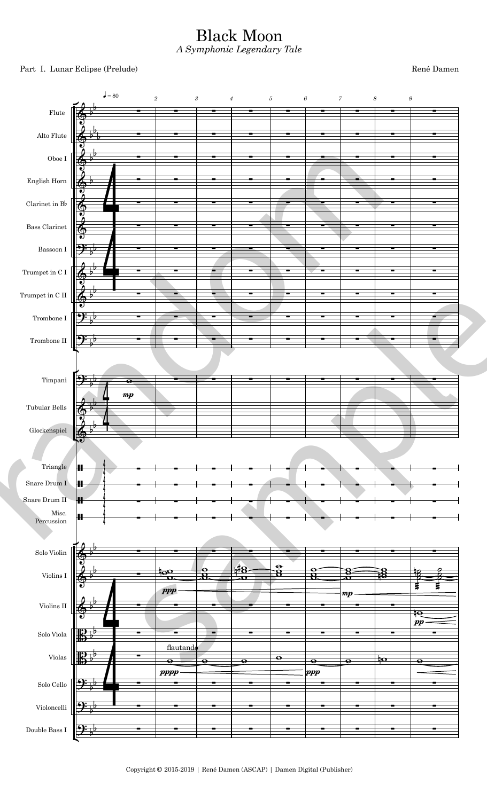#### Part I. Lunar Eclipse (Prelude) René Damen

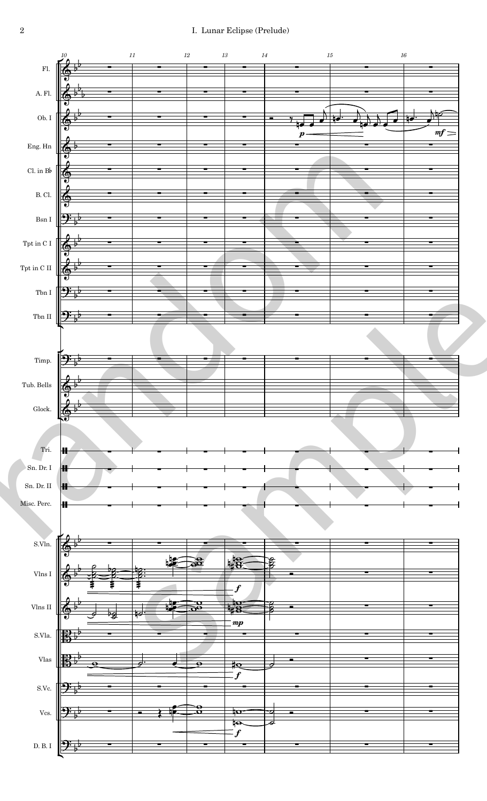### 2 I. Lunar Eclipse (Prelude)

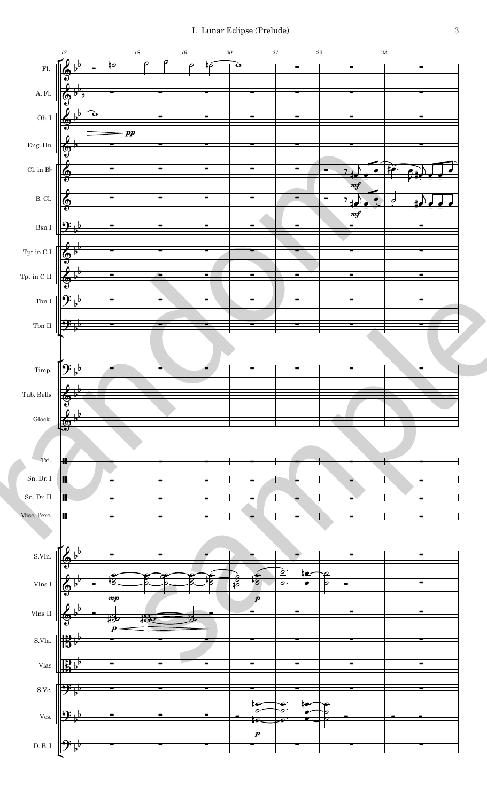### I. Lunar Eclipse (Prelude) 3

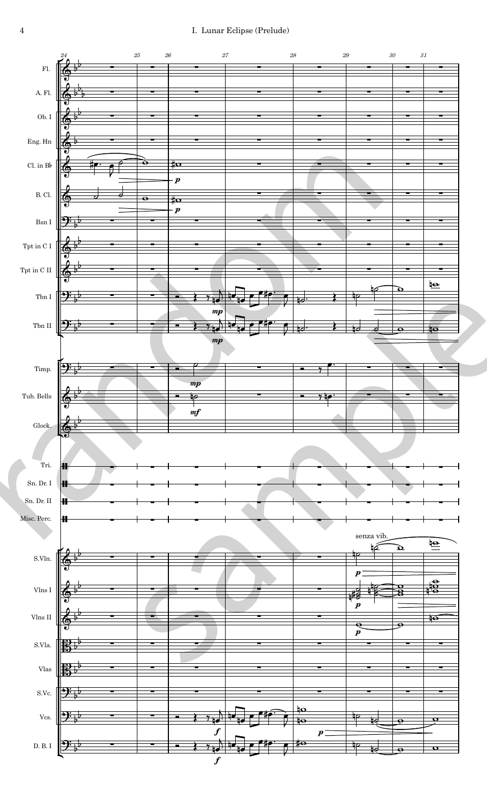### 4 I. Lunar Eclipse (Prelude)

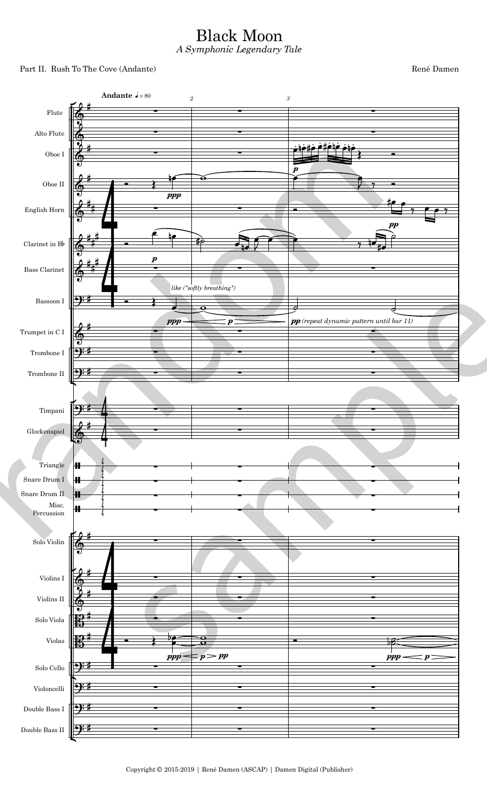Part II. Rush To The Cove (Andante) René Damen

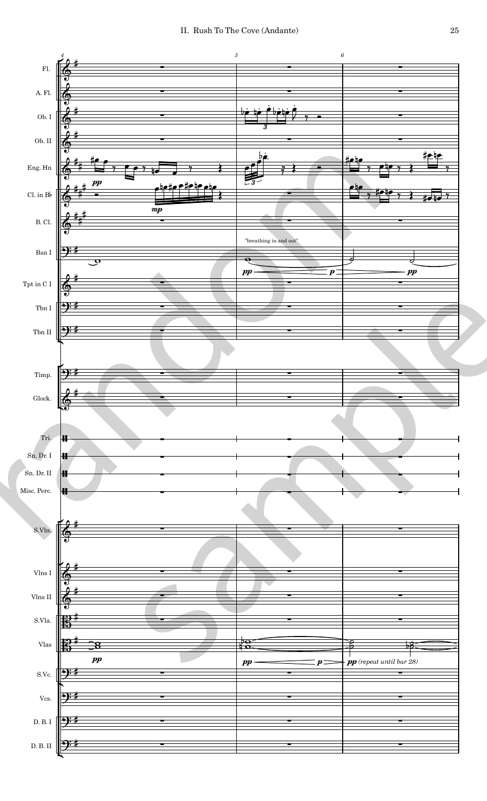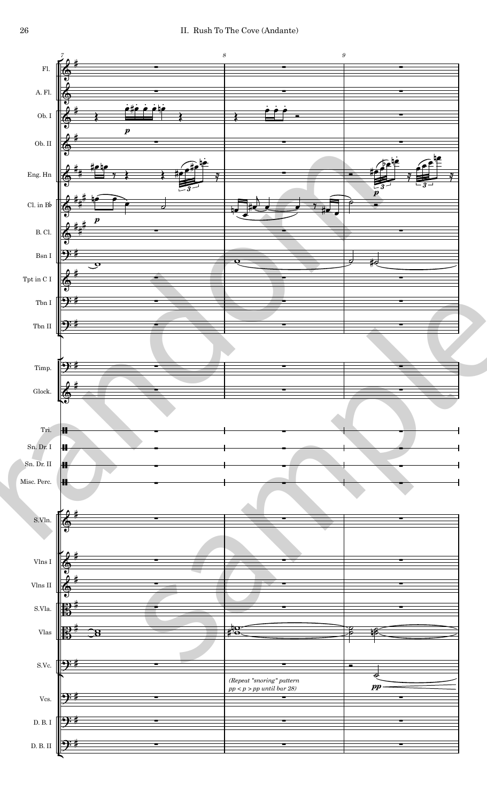### 26 II. Rush To The Cove (Andante)

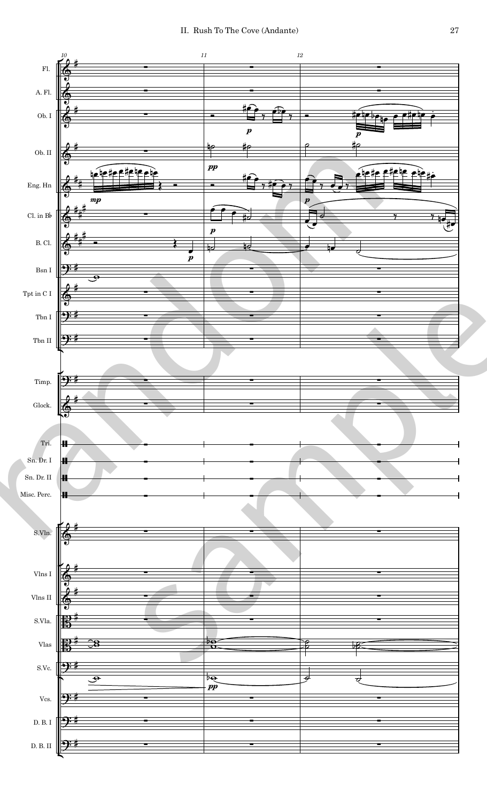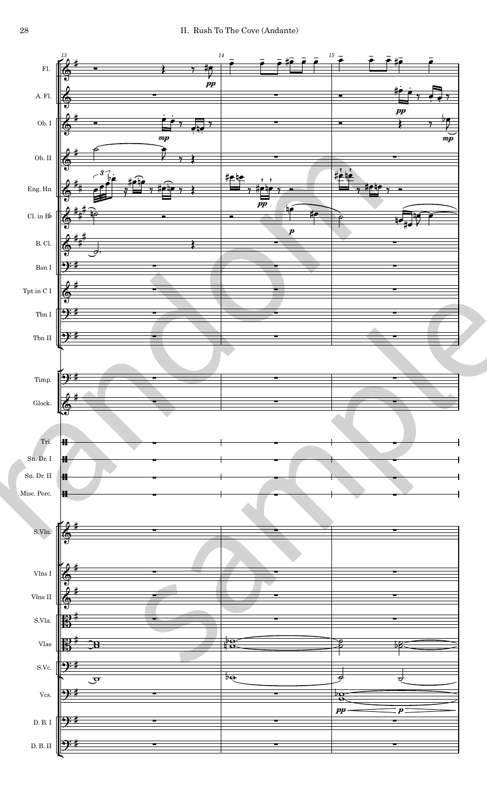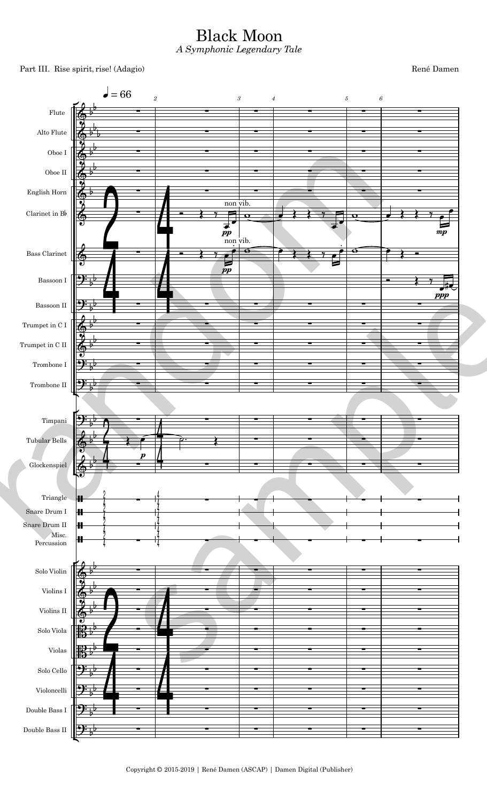Part III. Rise spirit, rise! (Adagio) René Damen

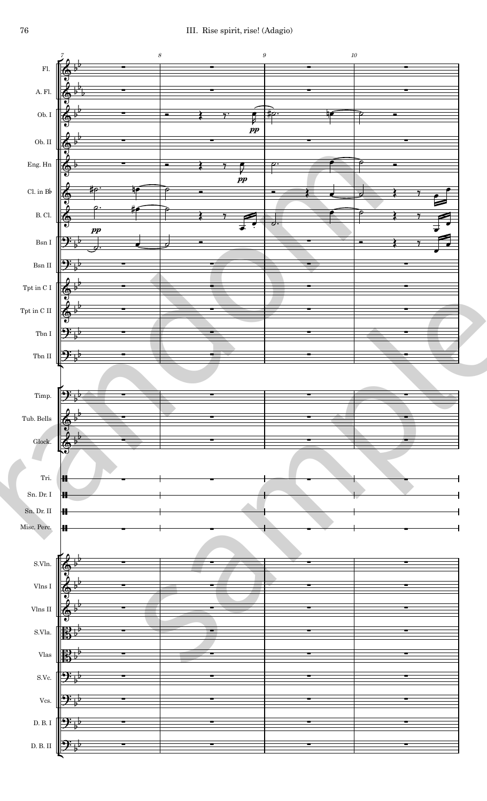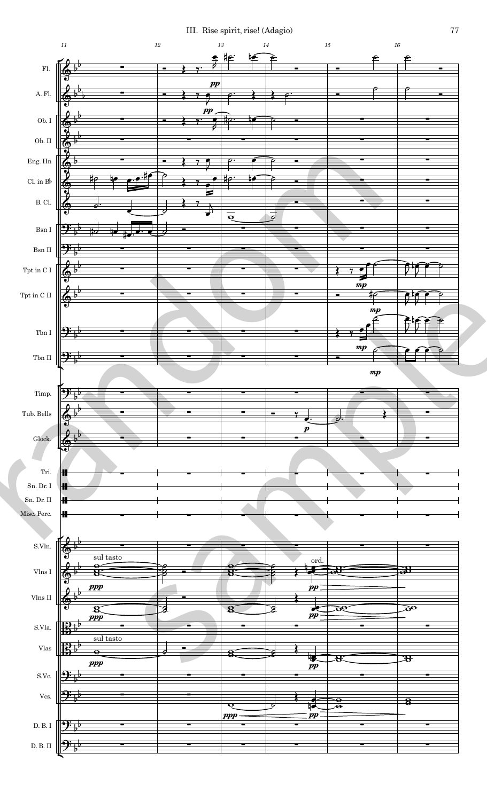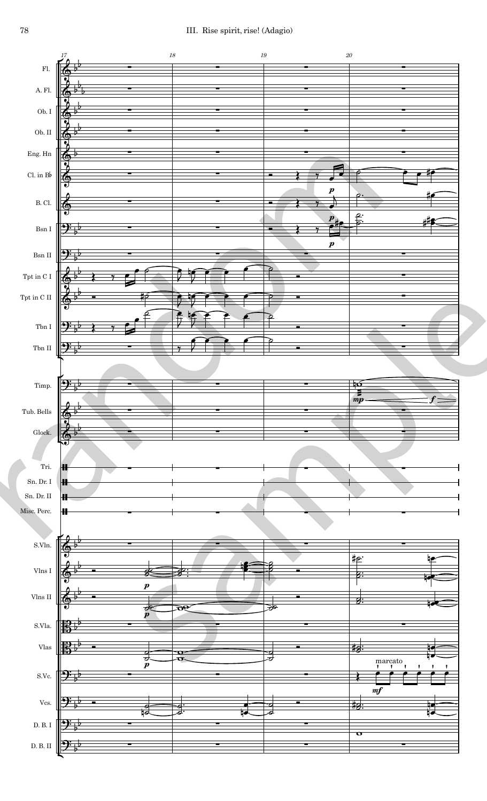### 78 III. Rise spirit, rise! (Adagio)

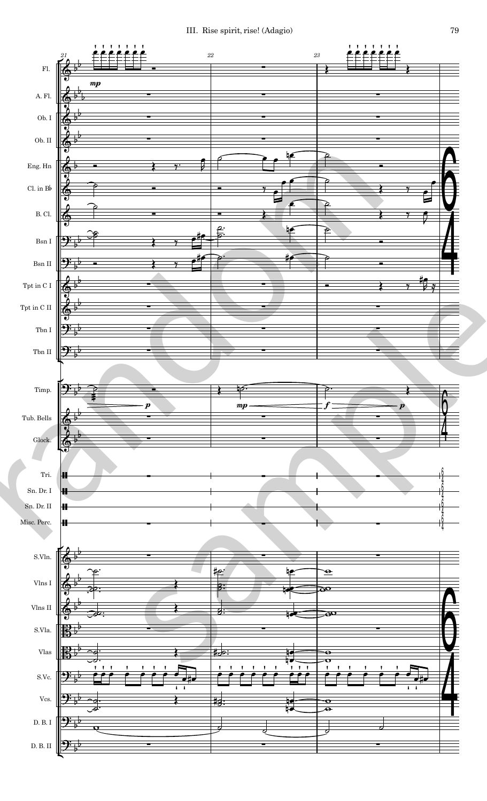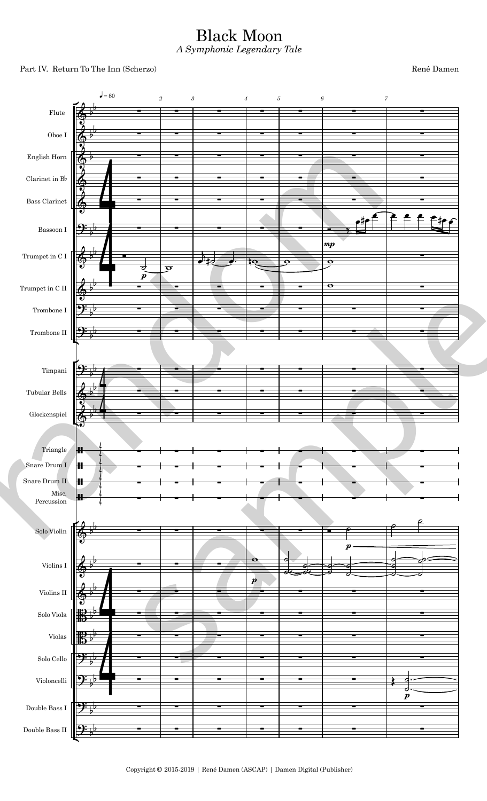Part IV. Return To The Inn (Scherzo) René Damen

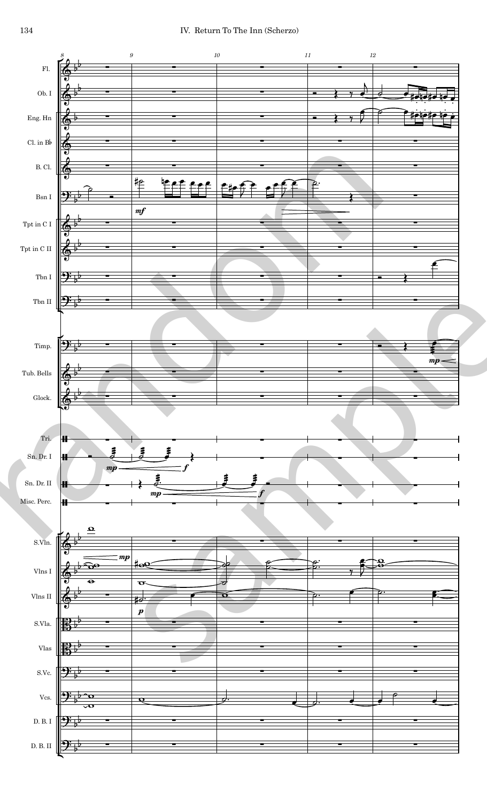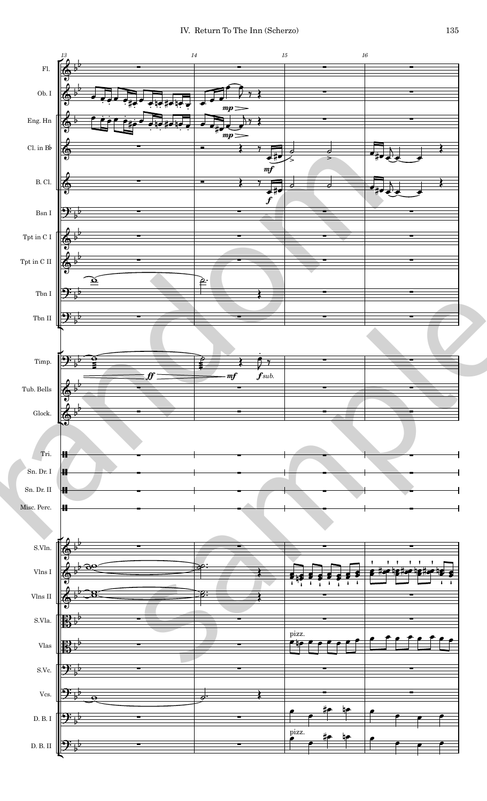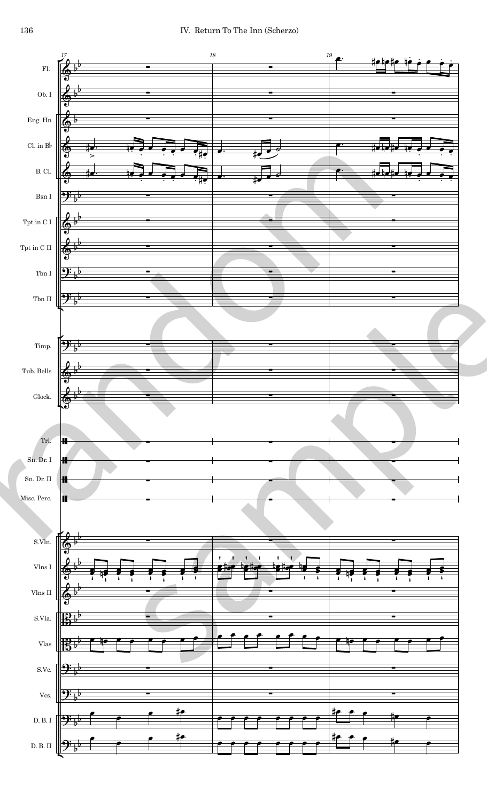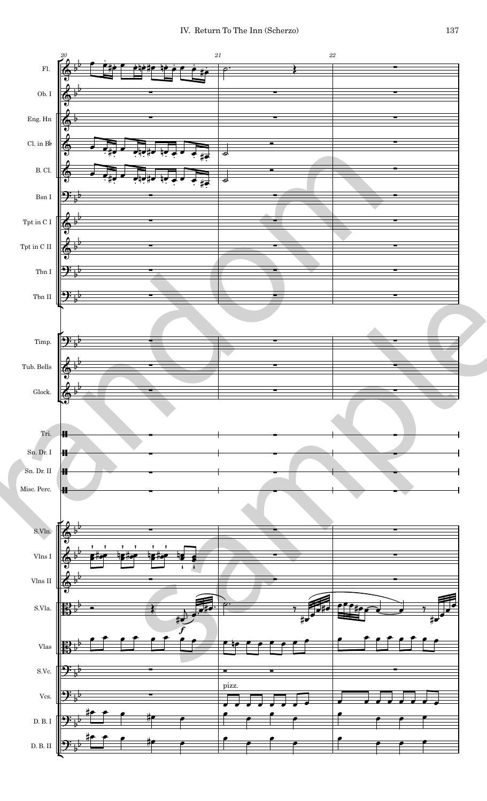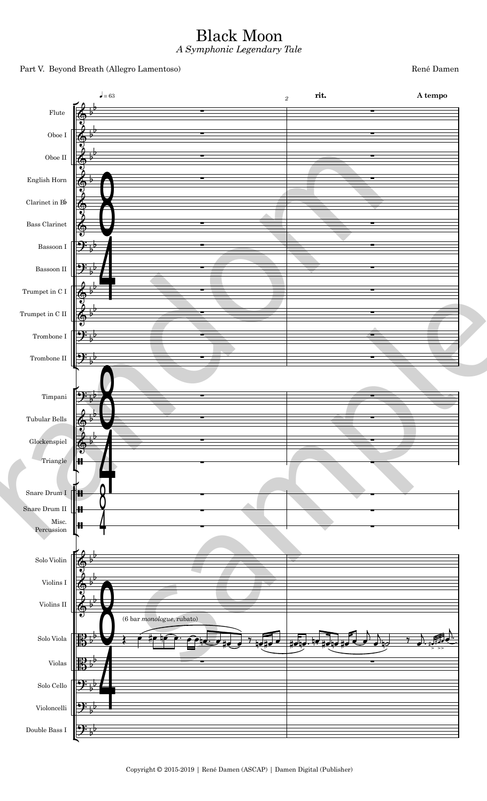Part V. Beyond Breath (Allegro Lamentoso) René Damen

![](_page_19_Figure_3.jpeg)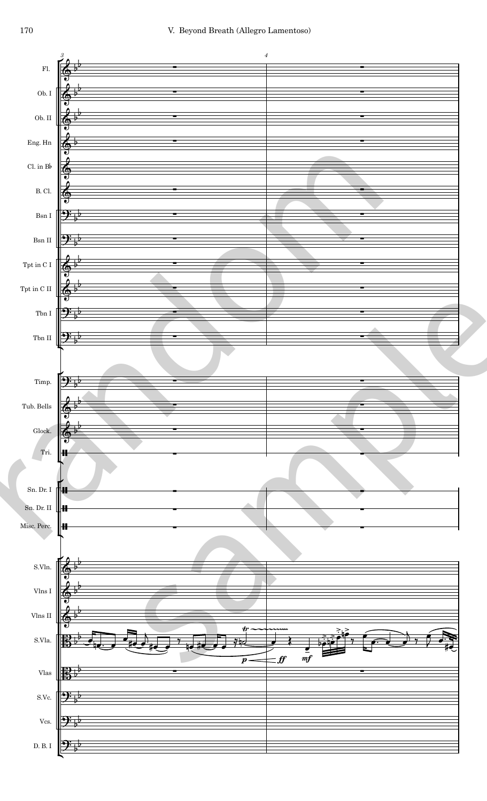![](_page_20_Figure_1.jpeg)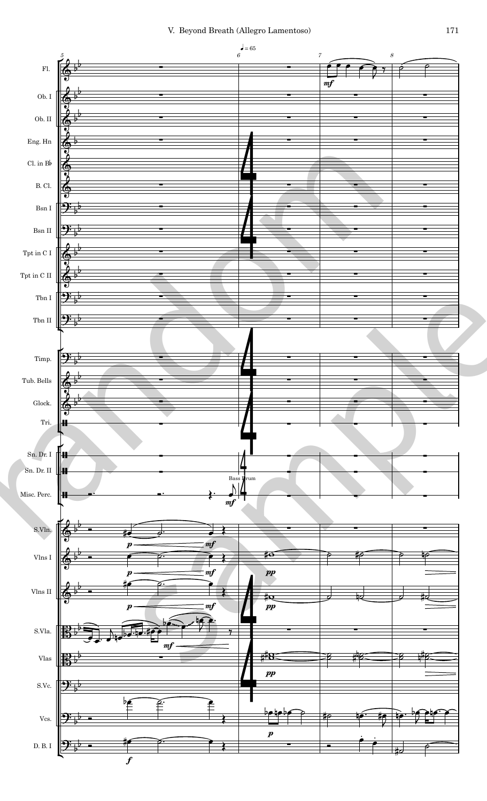![](_page_21_Figure_1.jpeg)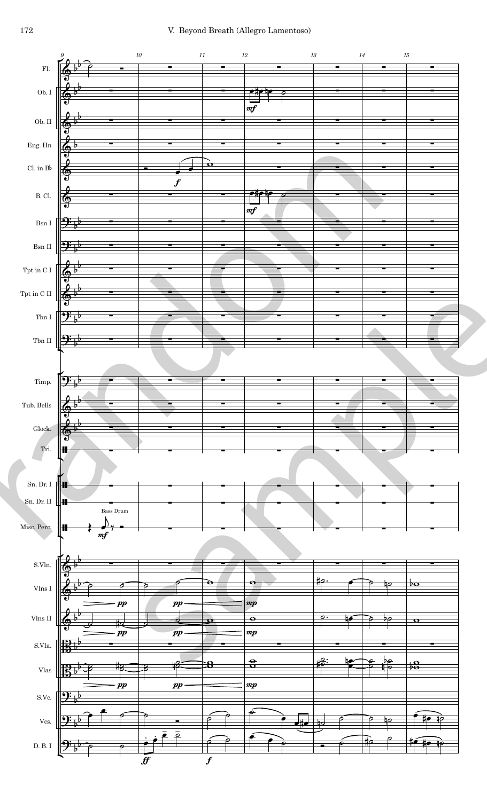![](_page_22_Figure_1.jpeg)